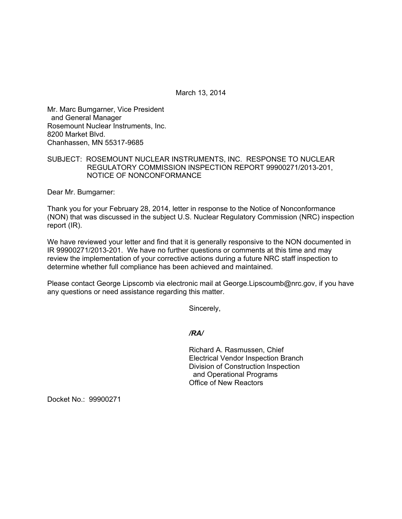March 13, 2014

Mr. Marc Bumgarner, Vice President and General Manager Rosemount Nuclear Instruments, Inc. 8200 Market Blvd. Chanhassen, MN 55317-9685

## SUBJECT: ROSEMOUNT NUCLEAR INSTRUMENTS, INC. RESPONSE TO NUCLEAR REGULATORY COMMISSION INSPECTION REPORT 99900271/2013-201, NOTICE OF NONCONFORMANCE

Dear Mr. Bumgarner:

Thank you for your February 28, 2014, letter in response to the Notice of Nonconformance (NON) that was discussed in the subject U.S. Nuclear Regulatory Commission (NRC) inspection report (IR).

We have reviewed your letter and find that it is generally responsive to the NON documented in IR 99900271/2013-201. We have no further questions or comments at this time and may review the implementation of your corrective actions during a future NRC staff inspection to determine whether full compliance has been achieved and maintained.

Please contact George Lipscomb via electronic mail at George.Lipscoumb@nrc.gov, if you have any questions or need assistance regarding this matter.

Sincerely,

*/RA/* 

Richard A. Rasmussen, Chief Electrical Vendor Inspection Branch Division of Construction Inspection and Operational Programs Office of New Reactors

Docket No.: 99900271